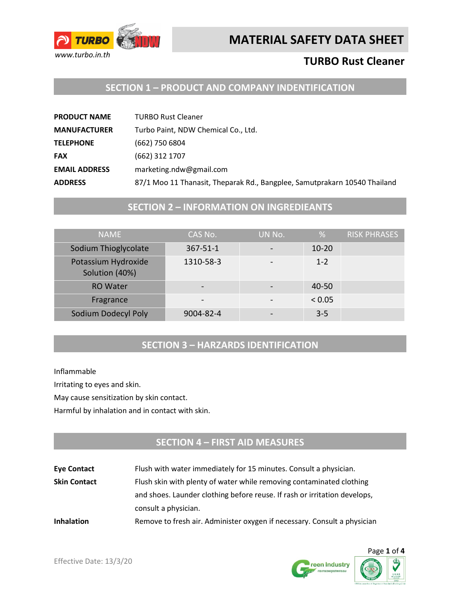



# **TURBO Rust Cleaner**

## **SECTION 1 – PRODUCT AND COMPANY INDENTIFICATION**

| <b>PRODUCT NAME</b>  | <b>TURBO Rust Cleaner</b>                                                 |
|----------------------|---------------------------------------------------------------------------|
| <b>MANUFACTURER</b>  | Turbo Paint, NDW Chemical Co., Ltd.                                       |
| <b>TELEPHONE</b>     | (662) 750 6804                                                            |
| <b>FAX</b>           | (662) 312 1707                                                            |
| <b>EMAIL ADDRESS</b> | marketing.ndw@gmail.com                                                   |
| <b>ADDRESS</b>       | 87/1 Moo 11 Thanasit, Theparak Rd., Bangplee, Samutprakarn 10540 Thailand |

### **SECTION 2 – INFORMATION ON INGREDIEANTS**

| <b>NAME</b>                           | CAS No.        | UN No. | %         | <b>RISK PHRASES</b> |
|---------------------------------------|----------------|--------|-----------|---------------------|
| Sodium Thioglycolate                  | $367 - 51 - 1$ |        | $10 - 20$ |                     |
| Potassium Hydroxide<br>Solution (40%) | 1310-58-3      |        | $1 - 2$   |                     |
| <b>RO Water</b>                       |                |        | $40 - 50$ |                     |
| Fragrance                             |                |        | < 0.05    |                     |
| Sodium Dodecyl Poly                   | 9004-82-4      |        | $3 - 5$   |                     |

#### **SECTION 3 – HARZARDS IDENTIFICATION**

Inflammable

Irritating to eyes and skin.

May cause sensitization by skin contact.

Harmful by inhalation and in contact with skin.

# **SECTION 4 – FIRST AID MEASURES**

| <b>Eye Contact</b>  | Flush with water immediately for 15 minutes. Consult a physician.         |
|---------------------|---------------------------------------------------------------------------|
| <b>Skin Contact</b> | Flush skin with plenty of water while removing contaminated clothing      |
|                     | and shoes. Launder clothing before reuse. If rash or irritation develops, |
|                     | consult a physician.                                                      |
| <b>Inhalation</b>   | Remove to fresh air. Administer oxygen if necessary. Consult a physician  |



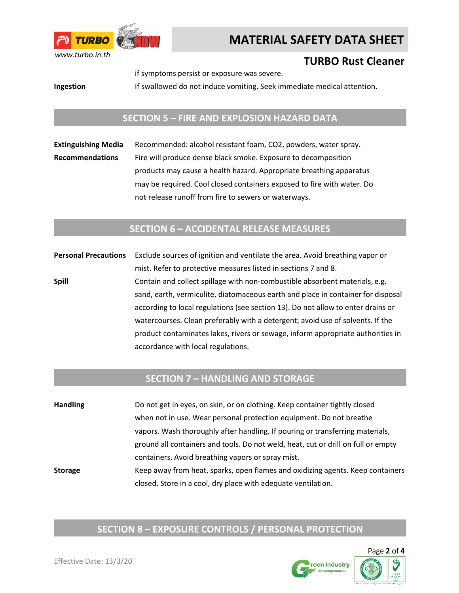

# **MATERIAL SAFETY DATA SHEET**

# **TURBO Rust Cleaner**

if symptoms persist or exposure was severe.

**Ingestion** If swallowed do not induce vomiting. Seek immediate medical attention.

#### **SECTION 5 – FIRE AND EXPLOSION HAZARD DATA**

**Extinguishing Media** Recommended: alcohol resistant foam, CO2, powders, water spray. **Recommendations** Fire will produce dense black smoke. Exposure to decomposition products may cause a health hazard. Appropriate breathing apparatus may be required. Cool closed containers exposed to fire with water. Do not release runoff from fire to sewers or waterways.

#### **SECTION 6 – ACCIDENTAL RELEASE MEASURES**

**Personal Precautions** Exclude sources of ignition and ventilate the area. Avoid breathing vapor or mist. Refer to protective measures listed in sections 7 and 8. **Spill** Contain and collect spillage with non-combustible absorbent materials, e.g. sand, earth, vermiculite, diatomaceous earth and place in container for disposal according to local regulations (see section 13). Do not allow to enter drains or watercourses. Clean preferably with a detergent; avoid use of solvents. If the product contaminates lakes, rivers or sewage, inform appropriate authorities in accordance with local regulations.

#### **SECTION 7 – HANDLING AND STORAGE**

**Handling** Do not get in eyes, on skin, or on clothing. Keep container tightly closed when not in use. Wear personal protection equipment. Do not breathe vapors. Wash thoroughly after handling. If pouring or transferring materials, ground all containers and tools. Do not weld, heat, cut or drill on full or empty containers. Avoid breathing vapors or spray mist. **Storage** Keep away from heat, sparks, open flames and oxidizing agents. Keep containers closed. Store in a cool, dry place with adequate ventilation.

# **SECTION 8 – EXPOSURE CONTROLS / PERSONAL PROTECTION**



reen Industry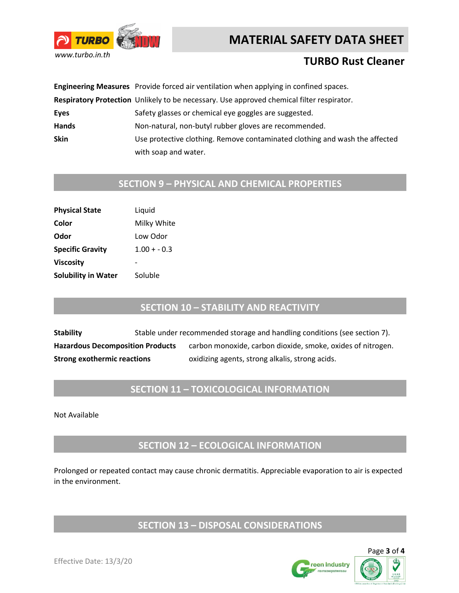# **MATERIAL SAFETY DATA SHEET**



# **TURBO Rust Cleaner**

|             | Engineering Measures Provide forced air ventilation when applying in confined spaces.     |  |
|-------------|-------------------------------------------------------------------------------------------|--|
|             | Respiratory Protection Unlikely to be necessary. Use approved chemical filter respirator. |  |
| Eyes        | Safety glasses or chemical eye goggles are suggested.                                     |  |
| Hands       | Non-natural, non-butyl rubber gloves are recommended.                                     |  |
| <b>Skin</b> | Use protective clothing. Remove contaminated clothing and wash the affected               |  |
|             | with soap and water.                                                                      |  |

### **SECTION 9 – PHYSICAL AND CHEMICAL PROPERTIES**

| <b>Physical State</b>      | Liquid        |
|----------------------------|---------------|
| Color                      | Milky White   |
| Odor                       | Low Odor      |
| <b>Specific Gravity</b>    | $1.00 + -0.3$ |
| <b>Viscosity</b>           |               |
| <b>Solubility in Water</b> | Soluble       |
|                            |               |

# **SECTION 10 – STABILITY AND REACTIVITY**

**Stability** Stable under recommended storage and handling conditions (see section 7). Hazardous Decomposition Products carbon monoxide, carbon dioxide, smoke, oxides of nitrogen. **Strong exothermic reactions** oxidizing agents, strong alkalis, strong acids.

# **SECTION 11 – TOXICOLOGICAL INFORMATION**

Not Available

**SECTION 12 – ECOLOGICAL INFORMATION**

Prolonged or repeated contact may cause chronic dermatitis. Appreciable evaporation to air is expected in the environment.

# **SECTION 13 – DISPOSAL CONSIDERATIONS**